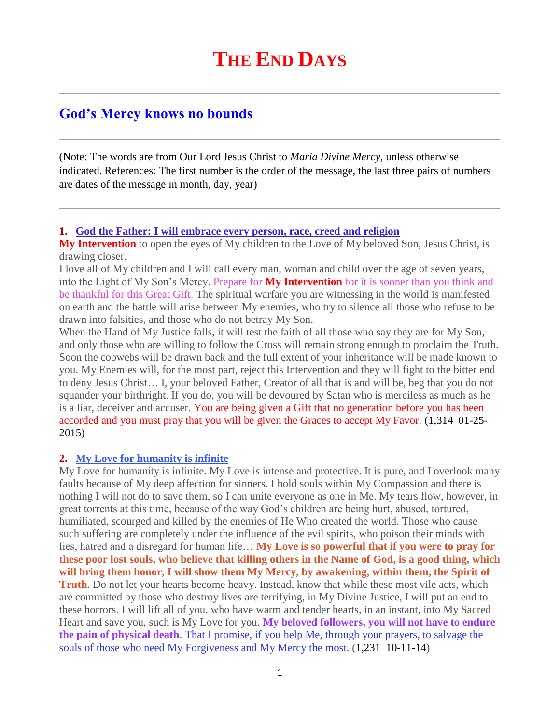# **God's Mercy knows no bounds**

(Note: The words are from Our Lord Jesus Christ to *Maria Divine Mercy*, unless otherwise indicated. References: The first number is the order of the message, the last three pairs of numbers are dates of the message in month, day, year)

**1. [God the Father: I will embrace every person, race, creed and religion](http://www.thewarningsecondcoming.com/god-the-father-i-will-embrace-every-person-race-creed-and-religion/)**

**My Intervention** to open the eyes of My children to the Love of My beloved Son, Jesus Christ, is drawing closer.

I love all of My children and I will call every man, woman and child over the age of seven years, into the Light of My Son's Mercy. Prepare for **My Intervention** for it is sooner than you think and be thankful for this Great Gift. The spiritual warfare you are witnessing in the world is manifested on earth and the battle will arise between My enemies, who try to silence all those who refuse to be drawn into falsities, and those who do not betray My Son.

When the Hand of My Justice falls, it will test the faith of all those who say they are for My Son, and only those who are willing to follow the Cross will remain strong enough to proclaim the Truth. Soon the cobwebs will be drawn back and the full extent of your inheritance will be made known to you. My Enemies will, for the most part, reject this Intervention and they will fight to the bitter end to deny Jesus Christ… I, your beloved Father, Creator of all that is and will be, beg that you do not squander your birthright. If you do, you will be devoured by Satan who is merciless as much as he is a liar, deceiver and accuser. You are being given a Gift that no generation before you has been accorded and you must pray that you will be given the Graces to accept My Favor. (1,314 01-25- 2015)

#### **2. [My Love for humanity is infinite](http://www.thewarningsecondcoming.com/my-love-for-humanity-is-infinite/)**

My Love for humanity is infinite. My Love is intense and protective. It is pure, and I overlook many faults because of My deep affection for sinners. I hold souls within My Compassion and there is nothing I will not do to save them, so I can unite everyone as one in Me. My tears flow, however, in great torrents at this time, because of the way God's children are being hurt, abused, tortured, humiliated, scourged and killed by the enemies of He Who created the world. Those who cause such suffering are completely under the influence of the evil spirits, who poison their minds with lies, hatred and a disregard for human life… **My Love is so powerful that if you were to pray for these poor lost souls, who believe that killing others in the Name of God, is a good thing, which will bring them honor, I will show them My Mercy, by awakening, within them, the Spirit of Truth**. Do not let your hearts become heavy. Instead, know that while these most vile acts, which are committed by those who destroy lives are terrifying, in My Divine Justice, I will put an end to these horrors. I will lift all of you, who have warm and tender hearts, in an instant, into My Sacred Heart and save you, such is My Love for you. **My beloved followers, you will not have to endure the pain of physical death**. That I promise, if you help Me, through your prayers, to salvage the souls of those who need My Forgiveness and My Mercy the most. (1,231 10-11-14)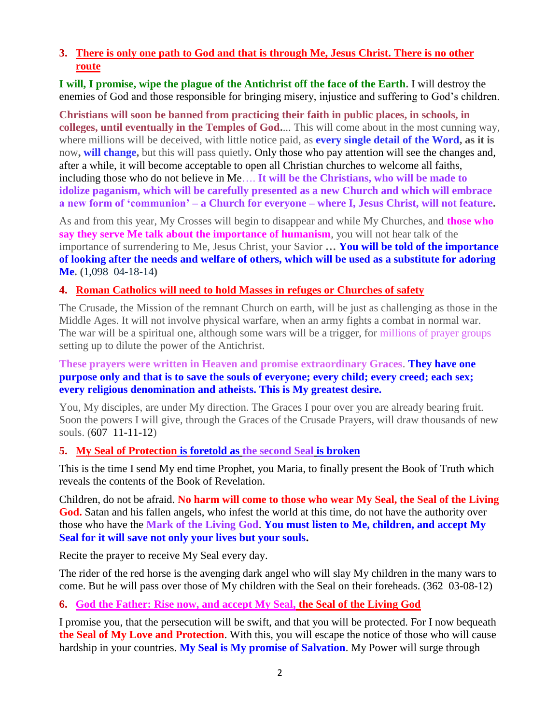# **3. [There is only one path to God and that is through Me, Jesus Christ. There is no other](http://www.thewarningsecondcoming.com/there-is-only-one-path-to-god-and-that-is-through-me-jesus-christ-there-is-no-other-route/)  [route](http://www.thewarningsecondcoming.com/there-is-only-one-path-to-god-and-that-is-through-me-jesus-christ-there-is-no-other-route/)**

**I will, I promise, wipe the plague of the Antichrist off the face of the Earth.** I will destroy the enemies of God and those responsible for bringing misery, injustice and suffering to God's children.

**Christians will soon be banned from practicing their faith in public places, in schools, in colleges, until eventually in the Temples of God.**... This will come about in the most cunning way, where millions will be deceived, with little notice paid, as **every single detail of the Word, as it is**  now**, will change,** but this will pass quietly**.** Only those who pay attention will see the changes and, after a while, it will become acceptable to open all Christian churches to welcome all faiths, including those who do not believe in Me…. **It will be the Christians, who will be made to idolize paganism, which will be carefully presented as a new Church and which will embrace a new form of 'communion' – a Church for everyone – where I, Jesus Christ, will not feature.**

As and from this year, My Crosses will begin to disappear and while My Churches, and **those who say they serve Me talk about the importance of humanism**, you will not hear talk of the importance of surrendering to Me, Jesus Christ, your Savior **… You will be told of the importance of looking after the needs and welfare of others, which will be used as a substitute for adoring Me. (**1,098 04-18-14**)**

## **4. Roman Catholics [will need to hold Masses in refuges or Churches of safety](http://www.thewarningsecondcoming.com/roman-catholics-will-need-to-hold-masses-in-refuges-or-churches-of-safety/)**

The Crusade, the Mission of the remnant Church on earth, will be just as challenging as those in the Middle Ages. It will not involve physical warfare, when an army fights a combat in normal war. The war will be a spiritual one, although some wars will be a trigger, for millions of prayer groups setting up to dilute the power of the Antichrist.

#### **These prayers were written in Heaven and promise extraordinary Graces**. **They have one purpose only and that is to save the souls of everyone; every child; every creed; each sex; every religious denomination and atheists. This is My greatest desire.**

You, My disciples, are under My direction. The Graces I pour over you are already bearing fruit. Soon the powers I will give, through the Graces of the Crusade Prayers, will draw thousands of new souls. (607 11-11-12)

#### **5. [My Seal of Protection](http://www.thewarningsecondcoming.com/my-seal-of-protection-is-foretold-as-the-second-seal-is-broken/) is foretold as the second Seal is broken**

This is the time I send My end time Prophet, you Maria, to finally present the Book of Truth which reveals the contents of the Book of Revelation.

Children, do not be afraid. **No harm will come to those who wear My Seal, the Seal of the Living God.** Satan and his fallen angels, who infest the world at this time, do not have the authority over those who have the **Mark of the Living God**. **You must listen to Me, children, and accept My Seal for it will save not only your lives but your souls.**

Recite the prayer to receive My Seal every day.

The rider of the red horse is the avenging dark angel who will slay My children in the many wars to come. But he will pass over those of My children with the Seal on their foreheads. (362 03-08-12)

**6. [God the Father: Rise now, and accept My Seal,](http://www.thewarningsecondcoming.com/god-the-father-rise-now-and-accept-my-seal-the-seal-of-the-living-god/) the Seal of the Living God**

I promise you, that the persecution will be swift, and that you will be protected. For I now bequeath **the Seal of My Love and Protection**. With this, you will escape the notice of those who will cause hardship in your countries. **My Seal is My promise of Salvation**. My Power will surge through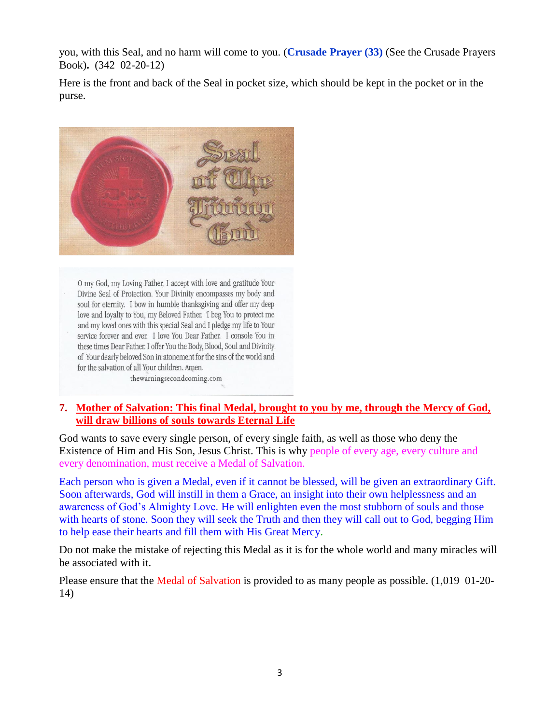you, with this Seal, and no harm will come to you. (**Crusade Prayer (33)** (See the Crusade Prayers Book)**.** (342 02-20-12)

Here is the front and back of the Seal in pocket size, which should be kept in the pocket or in the purse.



O my God, my Loving Father, I accept with love and gratitude Your Divine Seal of Protection. Your Divinity encompasses my body and soul for eternity. I bow in humble thanksgiving and offer my deep love and loyalty to You, my Beloved Father. I beg You to protect me and my loved ones with this special Seal and I pledge my life to Your service forever and ever. I love You Dear Father. I console You in these times Dear Father. I offer You the Body, Blood, Soul and Divinity of Your dearly beloved Son in atonement for the sins of the world and for the salvation of all Your children. Amen.

thewarningsecondcoming.com

#### **7. [Mother of Salvation: This final Medal, brought to you by me, through the Mercy of God,](http://www.thewarningsecondcoming.com/mother-of-salvation-this-final-medal-brought-to-you-by-me-through-the-mercy-of-god-will-draw-billions-of-souls-towards-eternal-life/)  [will draw billions of souls towards Eternal Life](http://www.thewarningsecondcoming.com/mother-of-salvation-this-final-medal-brought-to-you-by-me-through-the-mercy-of-god-will-draw-billions-of-souls-towards-eternal-life/)**

God wants to save every single person, of every single faith, as well as those who deny the Existence of Him and His Son, Jesus Christ. This is why people of every age, every culture and every denomination, must receive a Medal of Salvation.

Each person who is given a Medal, even if it cannot be blessed, will be given an extraordinary Gift. Soon afterwards, God will instill in them a Grace, an insight into their own helplessness and an awareness of God's Almighty Love. He will enlighten even the most stubborn of souls and those with hearts of stone. Soon they will seek the Truth and then they will call out to God, begging Him to help ease their hearts and fill them with His Great Mercy.

Do not make the mistake of rejecting this Medal as it is for the whole world and many miracles will be associated with it.

Please ensure that the Medal of Salvation is provided to as many people as possible. (1,019 01-20- 14)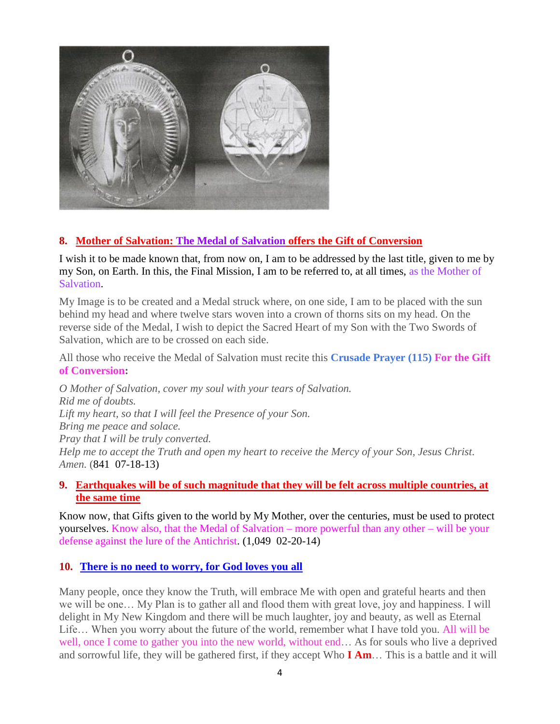

# **8. [Mother of Salvation: The Medal of Salvation](http://www.thewarningsecondcoming.com/mother-of-salvation-the-medal-of-salvation-offers-the-gift-of-conversion/) offers the Gift of Conversion**

I wish it to be made known that, from now on, I am to be addressed by the last title, given to me by my Son, on Earth. In this, the Final Mission, I am to be referred to, at all times, as the Mother of Salvation.

My Image is to be created and a Medal struck where, on one side, I am to be placed with the sun behind my head and where twelve stars woven into a crown of thorns sits on my head. On the reverse side of the Medal, I wish to depict the Sacred Heart of my Son with the Two Swords of Salvation, which are to be crossed on each side.

All those who receive the Medal of Salvation must recite this **Crusade Prayer (115) For the Gift of Conversion:**

*O Mother of Salvation, cover my soul with your tears of Salvation. Rid me of doubts. Lift my heart, so that I will feel the Presence of your Son. Bring me peace and solace. Pray that I will be truly converted. Help me to accept the Truth and open my heart to receive the Mercy of your Son, Jesus Christ. Amen.* (841 07-18-13)

## **9. [Earthquakes will be of such magnitude that they will be felt across multiple countries, at](http://www.thewarningsecondcoming.com/earthquakes-will-be-of-such-magnitude-that-they-will-be-felt-across-multiple-countries-at-the-same-time/)  [the same time](http://www.thewarningsecondcoming.com/earthquakes-will-be-of-such-magnitude-that-they-will-be-felt-across-multiple-countries-at-the-same-time/)**

Know now, that Gifts given to the world by My Mother, over the centuries, must be used to protect yourselves. Know also, that the Medal of Salvation – more powerful than any other – will be your defense against the lure of the Antichrist. (1,049 02-20-14)

## **10. [There is no need to worry, for God loves you all](http://www.thewarningsecondcoming.com/this-new-and-rapidly-created-hierarchy-will-take-over-my-church/)**

Many people, once they know the Truth, will embrace Me with open and grateful hearts and then we will be one… My Plan is to gather all and flood them with great love, joy and happiness. I will delight in My New Kingdom and there will be much laughter, joy and beauty, as well as Eternal Life… When you worry about the future of the world, remember what I have told you. All will be well, once I come to gather you into the new world, without end… As for souls who live a deprived and sorrowful life, they will be gathered first, if they accept Who **I Am**… This is a battle and it will